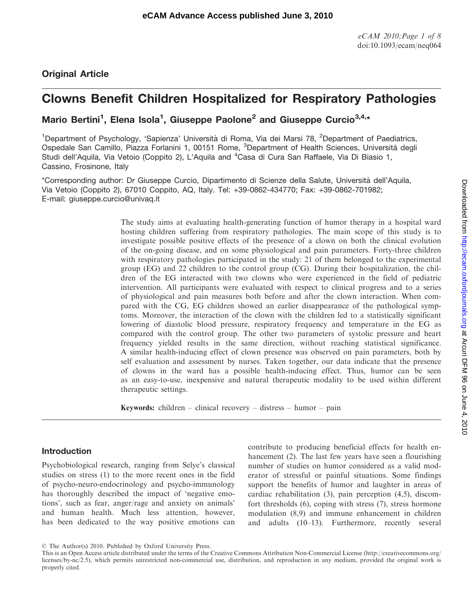# Original Article

# Clowns Benefit Children Hospitalized for Respiratory Pathologies

Mario Bertini<sup>1</sup>, Elena Isola<sup>1</sup>, Giuseppe Paolone<sup>2</sup> and Giuseppe Curcio<sup>3,4,\*</sup>

<sup>1</sup>Department of Psychology, 'Sapienza' Università di Roma, Via dei Marsi 78, <sup>2</sup>Department of Paediatrics, Ospedale San Camillo, Piazza Forlanini 1, 00151 Rome, <sup>3</sup>Department of Health Sciences, Università degli Studi dell'Aquila, Via Vetoio (Coppito 2), L'Aquila and <sup>4</sup>Casa di Cura San Raffaele, Via Di Biasio 1, Cassino, Frosinone, Italy

\*Corresponding author: Dr Giuseppe Curcio, Dipartimento di Scienze della Salute, Universita` dell'Aquila, Via Vetoio (Coppito 2), 67010 Coppito, AQ, Italy. Tel: +39-0862-434770; Fax: +39-0862-701982; E-mail: giuseppe.curcio@univaq.it

> The study aims at evaluating health-generating function of humor therapy in a hospital ward hosting children suffering from respiratory pathologies. The main scope of this study is to investigate possible positive effects of the presence of a clown on both the clinical evolution of the on-going disease, and on some physiological and pain parameters. Forty-three children with respiratory pathologies participated in the study: 21 of them belonged to the experimental group (EG) and 22 children to the control group (CG). During their hospitalization, the children of the EG interacted with two clowns who were experienced in the field of pediatric intervention. All participants were evaluated with respect to clinical progress and to a series of physiological and pain measures both before and after the clown interaction. When compared with the CG, EG children showed an earlier disappearance of the pathological symptoms. Moreover, the interaction of the clown with the children led to a statistically significant lowering of diastolic blood pressure, respiratory frequency and temperature in the EG as compared with the control group. The other two parameters of systolic pressure and heart frequency yielded results in the same direction, without reaching statistical significance. A similar health-inducing effect of clown presence was observed on pain parameters, both by self evaluation and assessment by nurses. Taken together, our data indicate that the presence of clowns in the ward has a possible health-inducing effect. Thus, humor can be seen as an easy-to-use, inexpensive and natural therapeutic modality to be used within different therapeutic settings.

Keywords: children – clinical recovery – distress – humor – pain

## Introduction

Psychobiological research, ranging from Selye's classical studies on stress (1) to the more recent ones in the field of psycho-neuro-endocrinology and psycho-immunology has thoroughly described the impact of 'negative emotions', such as fear, anger/rage and anxiety on animals' and human health. Much less attention, however, has been dedicated to the way positive emotions can contribute to producing beneficial effects for health enhancement (2). The last few years have seen a flourishing number of studies on humor considered as a valid moderator of stressful or painful situations. Some findings support the benefits of humor and laughter in areas of cardiac rehabilitation (3), pain perception (4,5), discomfort thresholds (6), coping with stress (7), stress hormone modulation (8,9) and immune enhancement in children and adults (10–13). Furthermore, recently several

<sup>©</sup> The Author(s) 2010. Published by Oxford University Press.

This is an Open Access article distributed under the terms of the Creative Commons Attribution Non-Commercial License (<http://creativecommons.org/> licenses/by-nc/2.5), which permits unrestricted non-commercial use, distribution, and reproduction in any medium, provided the original work is properly cited.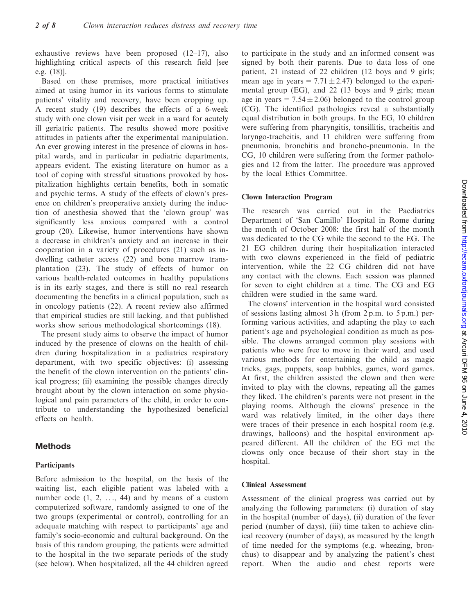exhaustive reviews have been proposed (12–17), also highlighting critical aspects of this research field [see e.g. (18)].

Based on these premises, more practical initiatives aimed at using humor in its various forms to stimulate patients' vitality and recovery, have been cropping up. A recent study (19) describes the effects of a 6-week study with one clown visit per week in a ward for acutely ill geriatric patients. The results showed more positive attitudes in patients after the experimental manipulation. An ever growing interest in the presence of clowns in hospital wards, and in particular in pediatric departments, appears evident. The existing literature on humor as a tool of coping with stressful situations provoked by hospitalization highlights certain benefits, both in somatic and psychic terms. A study of the effects of clown's presence on children's preoperative anxiety during the induction of anesthesia showed that the 'clown group' was significantly less anxious compared with a control group (20). Likewise, humor interventions have shown a decrease in children's anxiety and an increase in their cooperation in a variety of procedures (21) such as indwelling catheter access (22) and bone marrow transplantation (23). The study of effects of humor on various health-related outcomes in healthy populations is in its early stages, and there is still no real research documenting the benefits in a clinical population, such as in oncology patients (22). A recent review also affirmed that empirical studies are still lacking, and that published works show serious methodological shortcomings (18).

The present study aims to observe the impact of humor induced by the presence of clowns on the health of children during hospitalization in a pediatrics respiratory department, with two specific objectives: (i) assessing the benefit of the clown intervention on the patients' clinical progress; (ii) examining the possible changes directly brought about by the clown interaction on some physiological and pain parameters of the child, in order to contribute to understanding the hypothesized beneficial effects on health.

## Methods

## Participants

Before admission to the hospital, on the basis of the waiting list, each eligible patient was labeled with a number code  $(1, 2, \ldots, 44)$  and by means of a custom computerized software, randomly assigned to one of the two groups (experimental or control), controlling for an adequate matching with respect to participants' age and family's socio-economic and cultural background. On the basis of this random grouping, the patients were admitted to the hospital in the two separate periods of the study (see below). When hospitalized, all the 44 children agreed

to participate in the study and an informed consent was signed by both their parents. Due to data loss of one patient, 21 instead of 22 children (12 boys and 9 girls; mean age in years =  $7.71 \pm 2.47$ ) belonged to the experimental group (EG), and 22 (13 boys and 9 girls; mean age in years =  $7.54 \pm 2.06$ ) belonged to the control group (CG). The identified pathologies reveal a substantially equal distribution in both groups. In the EG, 10 children were suffering from pharyngitis, tonsillitis, tracheitis and laryngo-tracheitis, and 11 children were suffering from pneumonia, bronchitis and broncho-pneumonia. In the CG, 10 children were suffering from the former pathologies and 12 from the latter. The procedure was approved by the local Ethics Committee.

#### Clown Interaction Program

The research was carried out in the Paediatrics Department of 'San Camillo' Hospital in Rome during the month of October 2008: the first half of the month was dedicated to the CG while the second to the EG. The 21 EG children during their hospitalization interacted with two clowns experienced in the field of pediatric intervention, while the 22 CG children did not have any contact with the clowns. Each session was planned for seven to eight children at a time. The CG and EG children were studied in the same ward.

The clowns' intervention in the hospital ward consisted of sessions lasting almost 3 h (from 2 p.m. to 5 p.m.) performing various activities, and adapting the play to each patient's age and psychological condition as much as possible. The clowns arranged common play sessions with patients who were free to move in their ward, and used various methods for entertaining the child as magic tricks, gags, puppets, soap bubbles, games, word games. At first, the children assisted the clown and then were invited to play with the clowns, repeating all the games they liked. The children's parents were not present in the playing rooms. Although the clowns' presence in the ward was relatively limited, in the other days there were traces of their presence in each hospital room (e.g. drawings, balloons) and the hospital environment appeared different. All the children of the EG met the clowns only once because of their short stay in the hospital.

## Clinical Assessment

Assessment of the clinical progress was carried out by analyzing the following parameters: (i) duration of stay in the hospital (number of days), (ii) duration of the fever period (number of days), (iii) time taken to achieve clinical recovery (number of days), as measured by the length of time needed for the symptoms (e.g. wheezing, bronchus) to disappear and by analyzing the patient's chest report. When the audio and chest reports were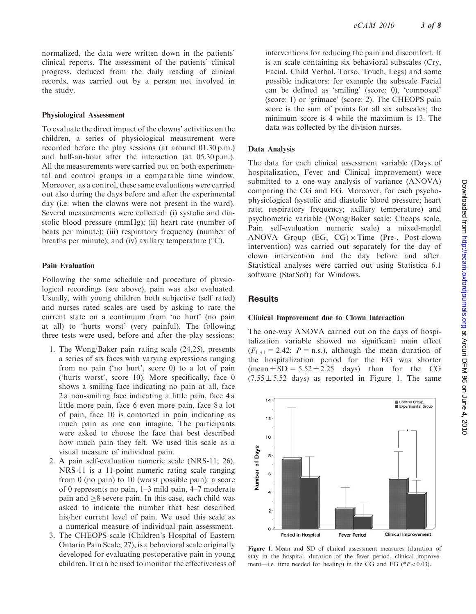normalized, the data were written down in the patients' clinical reports. The assessment of the patients' clinical progress, deduced from the daily reading of clinical records, was carried out by a person not involved in the study.

#### Physiological Assessment

To evaluate the direct impact of the clowns' activities on the children, a series of physiological measurement were recorded before the play sessions (at around 01.30 p.m.) and half-an-hour after the interaction (at 05.30 p.m.). All the measurements were carried out on both experimental and control groups in a comparable time window. Moreover, as a control, these same evaluations were carried out also during the days before and after the experimental day (i.e. when the clowns were not present in the ward). Several measurements were collected: (i) systolic and diastolic blood pressure (mmHg); (ii) heart rate (number of beats per minute); (iii) respiratory frequency (number of breaths per minute); and (iv) axillary temperature  $({}^{\circ}C)$ .

#### Pain Evaluation

Following the same schedule and procedure of physiological recordings (see above), pain was also evaluated. Usually, with young children both subjective (self rated) and nurses rated scales are used by asking to rate the current state on a continuum from 'no hurt' (no pain at all) to 'hurts worst' (very painful). The following three tests were used, before and after the play sessions:

- 1. The Wong/Baker pain rating scale (24,25), presents a series of six faces with varying expressions ranging from no pain ('no hurt', score 0) to a lot of pain ('hurts worst', score 10). More specifically, face 0 shows a smiling face indicating no pain at all, face 2 a non-smiling face indicating a little pain, face 4 a little more pain, face 6 even more pain, face 8 a lot of pain, face 10 is contorted in pain indicating as much pain as one can imagine. The participants were asked to choose the face that best described how much pain they felt. We used this scale as a visual measure of individual pain.
- 2. A pain self-evaluation numeric scale (NRS-11; 26), NRS-11 is a 11-point numeric rating scale ranging from 0 (no pain) to 10 (worst possible pain): a score of 0 represents no pain, 1–3 mild pain, 4–7 moderate pain and  $\geq$ 8 severe pain. In this case, each child was asked to indicate the number that best described his/her current level of pain. We used this scale as a numerical measure of individual pain assessment.
- 3. The CHEOPS scale (Children's Hospital of Eastern Ontario Pain Scale; 27), is a behavioral scale originally developed for evaluating postoperative pain in young children. It can be used to monitor the effectiveness of

interventions for reducing the pain and discomfort. It is an scale containing six behavioral subscales (Cry, Facial, Child Verbal, Torso, Touch, Legs) and some possible indicators: for example the subscale Facial can be defined as 'smiling' (score: 0), 'composed' (score: 1) or 'grimace' (score: 2). The CHEOPS pain score is the sum of points for all six subscales; the minimum score is 4 while the maximum is 13. The data was collected by the division nurses.

#### Data Analysis

The data for each clinical assessment variable (Days of hospitalization, Fever and Clinical improvement) were submitted to a one-way analysis of variance (ANOVA) comparing the CG and EG. Moreover, for each psychophysiological (systolic and diastolic blood pressure; heart rate; respiratory frequency; axillary temperature) and psychometric variable (Wong/Baker scale; Cheops scale, Pain self-evaluation numeric scale) a mixed-model ANOVA Group (EG,  $CG) \times Time$  (Pre-, Post-clown) intervention) was carried out separately for the day of clown intervention and the day before and after. Statistical analyses were carried out using Statistica 6.1 software (StatSoft) for Windows.

#### **Results**

#### Clinical Improvement due to Clown Interaction

The one-way ANOVA carried out on the days of hospitalization variable showed no significant main effect  $(F<sub>1,41</sub> = 2.42; P = n.s.), although the mean duration of$ the hospitalization period for the EG was shorter  $(\text{mean} \pm \text{SD} = 5.52 \pm 2.25 \text{ days})$  than for the CG  $(7.55 \pm 5.52$  days) as reported in Figure 1. The same



Figure 1. Mean and SD of clinical assessment measures (duration of stay in the hospital, duration of the fever period, clinical improvement—i.e. time needed for healing) in the CG and EG ( $P<0.03$ ).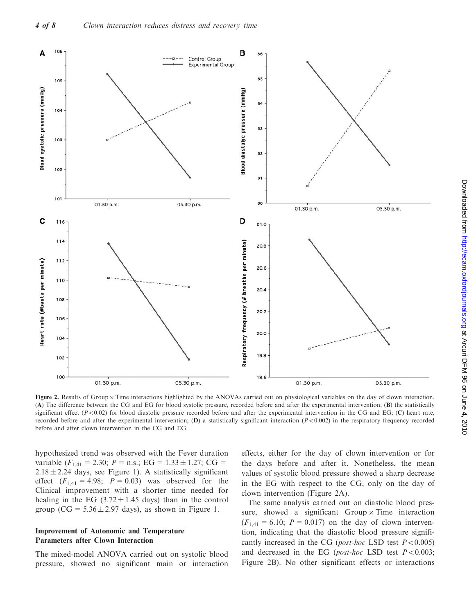

Figure 2. Results of Group  $\times$  Time interactions highlighted by the ANOVAs carried out on physiological variables on the day of clown interaction. (A) The difference between the CG and EG for blood systolic pressure, recorded before and after the experimental intervention; (B) the statistically significant effect ( $P<0.02$ ) for blood diastolic pressure recorded before and after the experimental intervention in the CG and EG; (C) heart rate, recorded before and after the experimental intervention; (D) a statistically significant interaction  $(P<0.002)$  in the respiratory frequency recorded before and after clown intervention in the CG and EG.

hypothesized trend was observed with the Fever duration variable  $(F_{1,41} = 2.30; P = n.s.; EG = 1.33 \pm 1.27; CG =$  $2.18 \pm 2.24$  days, see Figure 1). A statistically significant effect  $(F_{1,41} = 4.98; P = 0.03)$  was observed for the Clinical improvement with a shorter time needed for healing in the EG  $(3.72 \pm 1.45$  days) than in the control group (CG =  $5.36 \pm 2.97$  days), as shown in Figure 1.

#### Improvement of Autonomic and Temperature Parameters after Clown Interaction

The mixed-model ANOVA carried out on systolic blood pressure, showed no significant main or interaction effects, either for the day of clown intervention or for the days before and after it. Nonetheless, the mean values of systolic blood pressure showed a sharp decrease in the EG with respect to the CG, only on the day of clown intervention (Figure 2A).

The same analysis carried out on diastolic blood pressure, showed a significant Group  $\times$  Time interaction  $(F_{1,41} = 6.10; P = 0.017)$  on the day of clown intervention, indicating that the diastolic blood pressure significantly increased in the CG (*post-hoc* LSD test  $P < 0.005$ ) and decreased in the EG (*post-hoc* LSD test  $P < 0.003$ ; Figure 2B). No other significant effects or interactions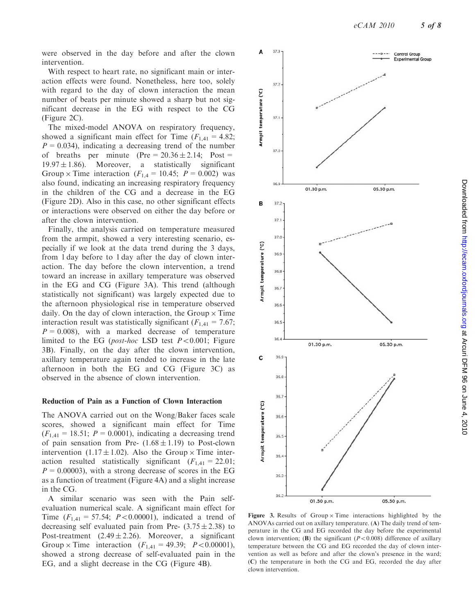were observed in the day before and after the clown intervention.

With respect to heart rate, no significant main or interaction effects were found. Nonetheless, here too, solely with regard to the day of clown interaction the mean number of beats per minute showed a sharp but not significant decrease in the EG with respect to the CG (Figure 2C).

The mixed-model ANOVA on respiratory frequency, showed a significant main effect for Time  $(F_{1,41} = 4.82;$  $P = 0.034$ ), indicating a decreasing trend of the number of breaths per minute (Pre =  $20.36 \pm 2.14$ ; Post =  $19.97 \pm 1.86$ ). Moreover, a statistically significant Group  $\times$  Time interaction ( $F_{1,4} = 10.45$ ;  $P = 0.002$ ) was also found, indicating an increasing respiratory frequency in the children of the CG and a decrease in the EG (Figure 2D). Also in this case, no other significant effects or interactions were observed on either the day before or after the clown intervention.

Finally, the analysis carried on temperature measured from the armpit, showed a very interesting scenario, especially if we look at the data trend during the 3 days, from 1 day before to 1 day after the day of clown interaction. The day before the clown intervention, a trend toward an increase in axillary temperature was observed in the EG and CG (Figure 3A). This trend (although statistically not significant) was largely expected due to the afternoon physiological rise in temperature observed daily. On the day of clown interaction, the Group  $\times$  Time interaction result was statistically significant ( $F_{1,41} = 7.67$ ;  $P = 0.008$ , with a marked decrease of temperature limited to the EG (*post-hoc* LSD test  $P < 0.001$ ; Figure 3B). Finally, on the day after the clown intervention, axillary temperature again tended to increase in the late afternoon in both the EG and CG (Figure 3C) as observed in the absence of clown intervention.

#### Reduction of Pain as a Function of Clown Interaction

The ANOVA carried out on the Wong/Baker faces scale scores, showed a significant main effect for Time  $(F<sub>1,41</sub> = 18.51; P = 0.0001)$ , indicating a decreasing trend of pain sensation from Pre-  $(1.68 \pm 1.19)$  to Post-clown intervention  $(1.17 \pm 1.02)$ . Also the Group  $\times$  Time interaction resulted statistically significant  $(F_{1,41} = 22.01;$  $P = 0.00003$ , with a strong decrease of scores in the EG as a function of treatment (Figure 4A) and a slight increase in the CG.

A similar scenario was seen with the Pain selfevaluation numerical scale. A significant main effect for Time  $(F_{1,41} = 57.54; P < 0.00001)$ , indicated a trend of decreasing self evaluated pain from Pre-  $(3.75 \pm 2.38)$  to Post-treatment  $(2.49 \pm 2.26)$ . Moreover, a significant Group  $\times$  Time interaction ( $F_{1,41} = 49.39; P < 0.00001$ ), showed a strong decrease of self-evaluated pain in the EG, and a slight decrease in the CG (Figure 4B).



Figure 3. Results of Group  $\times$  Time interactions highlighted by the ANOVAs carried out on axillary temperature. (A) The daily trend of temperature in the CG and EG recorded the day before the experimental clown intervention; (B) the significant  $(P<0.008)$  difference of axillary temperature between the CG and EG recorded the day of clown intervention as well as before and after the clown's presence in the ward; (C) the temperature in both the CG and EG, recorded the day after clown intervention.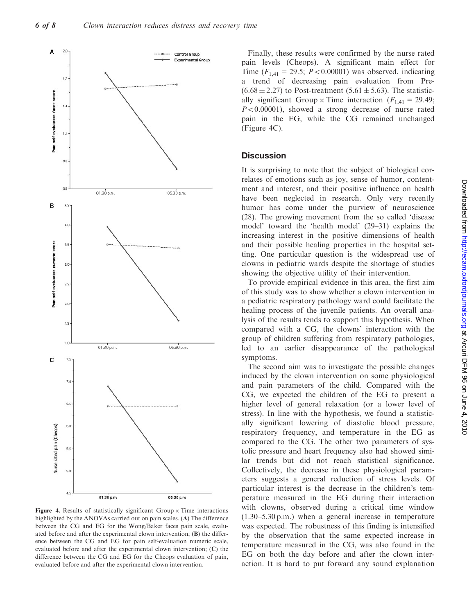

Figure 4. Results of statistically significant  $Group \times Time$  interactions highlighted by the ANOVAs carried out on pain scales. (A) The difference between the CG and EG for the Wong/Baker faces pain scale, evaluated before and after the experimental clown intervention; (B) the difference between the CG and EG for pain self-evaluation numeric scale, evaluated before and after the experimental clown intervention; (C) the difference between the CG and EG for the Cheops evaluation of pain, evaluated before and after the experimental clown intervention.

Finally, these results were confirmed by the nurse rated pain levels (Cheops). A significant main effect for Time  $(F_{1,41} = 29.5; P < 0.00001)$  was observed, indicating a trend of decreasing pain evaluation from Pre-  $(6.68 \pm 2.27)$  to Post-treatment  $(5.61 \pm 5.63)$ . The statistically significant Group  $\times$  Time interaction ( $F_{1,41} = 29.49$ ;  $P<0.00001$ ), showed a strong decrease of nurse rated pain in the EG, while the CG remained unchanged (Figure 4C).

## **Discussion**

It is surprising to note that the subject of biological correlates of emotions such as joy, sense of humor, contentment and interest, and their positive influence on health have been neglected in research. Only very recently humor has come under the purview of neuroscience (28). The growing movement from the so called 'disease model' toward the 'health model' (29–31) explains the increasing interest in the positive dimensions of health and their possible healing properties in the hospital setting. One particular question is the widespread use of clowns in pediatric wards despite the shortage of studies showing the objective utility of their intervention.

To provide empirical evidence in this area, the first aim of this study was to show whether a clown intervention in a pediatric respiratory pathology ward could facilitate the healing process of the juvenile patients. An overall analysis of the results tends to support this hypothesis. When compared with a CG, the clowns' interaction with the group of children suffering from respiratory pathologies, led to an earlier disappearance of the pathological symptoms.

The second aim was to investigate the possible changes induced by the clown intervention on some physiological and pain parameters of the child. Compared with the CG, we expected the children of the EG to present a higher level of general relaxation (or a lower level of stress). In line with the hypothesis, we found a statistically significant lowering of diastolic blood pressure, respiratory frequency, and temperature in the EG as compared to the CG. The other two parameters of systolic pressure and heart frequency also had showed similar trends but did not reach statistical significance. Collectively, the decrease in these physiological parameters suggests a general reduction of stress levels. Of particular interest is the decrease in the children's temperature measured in the EG during their interaction with clowns, observed during a critical time window (1.30–5.30 p.m.) when a general increase in temperature was expected. The robustness of this finding is intensified by the observation that the same expected increase in temperature measured in the CG, was also found in the EG on both the day before and after the clown interaction. It is hard to put forward any sound explanation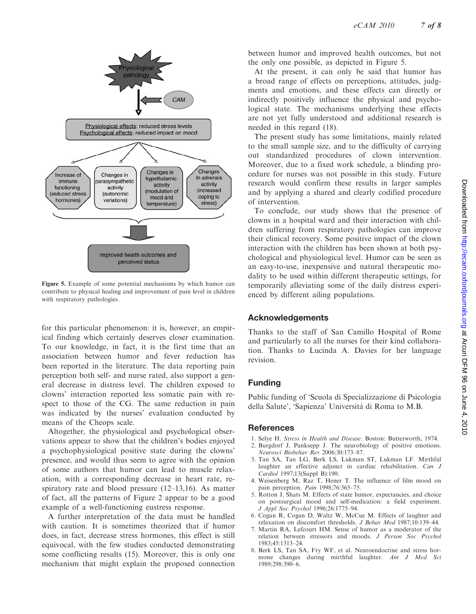

Figure 5. Example of some potential mechanisms by which humor can contribute to physical healing and improvement of pain level in children with respiratory pathologies.

for this particular phenomenon: it is, however, an empirical finding which certainly deserves closer examination. To our knowledge, in fact, it is the first time that an association between humor and fever reduction has been reported in the literature. The data reporting pain perception both self- and nurse rated, also support a general decrease in distress level. The children exposed to clowns' interaction reported less somatic pain with respect to those of the CG. The same reduction in pain was indicated by the nurses' evaluation conducted by means of the Cheops scale.

Altogether, the physiological and psychological observations appear to show that the children's bodies enjoyed a psychophysiological positive state during the clowns' presence, and would thus seem to agree with the opinion of some authors that humor can lead to muscle relaxation, with a corresponding decrease in heart rate, respiratory rate and blood pressure (12–13,16). As matter of fact, all the patterns of Figure 2 appear to be a good example of a well-functioning eustress response.

A further interpretation of the data must be handled with caution. It is sometimes theorized that if humor does, in fact, decrease stress hormones, this effect is still equivocal, with the few studies conducted demonstrating some conflicting results (15). Moreover, this is only one mechanism that might explain the proposed connection between humor and improved health outcomes, but not the only one possible, as depicted in Figure 5.

At the present, it can only be said that humor has a broad range of effects on perceptions, attitudes, judgments and emotions, and these effects can directly or indirectly positively influence the physical and psychological state. The mechanisms underlying these effects are not yet fully understood and additional research is needed in this regard (18).

The present study has some limitations, mainly related to the small sample size, and to the difficulty of carrying out standardized procedures of clown intervention. Moreover, due to a fixed work schedule, a blinding procedure for nurses was not possible in this study. Future research would confirm these results in larger samples and by applying a shared and clearly codified procedure of intervention.

To conclude, our study shows that the presence of clowns in a hospital ward and their interaction with children suffering from respiratory pathologies can improve their clinical recovery. Some positive impact of the clown interaction with the children has been shown at both psychological and physiological level. Humor can be seen as an easy-to-use, inexpensive and natural therapeutic modality to be used within different therapeutic settings, for temporarily alleviating some of the daily distress experienced by different ailing populations.

## Acknowledgements

Thanks to the staff of San Camillo Hospital of Rome and particularly to all the nurses for their kind collaboration. Thanks to Lucinda A. Davies for her language revision.

## Funding

Public funding of 'Scuola di Specializzazione di Psicologia della Salute', 'Sapienza' Universita` di Roma to M.B.

## References

- 1. Selye H. Stress in Health and Disease. Boston: Butterworth, 1974.
- 2. Burgdorf J, Panksepp J. The neurobiology of positive emotions. Neurosci Biobehav Rev 2006;30:173–87.
- 3. Tan SA, Tan LG, Berk LS, Lukman ST, Lukman LF. Mirthful laughter an effective adjunct in cardiac rehabilitation. Can J Cardiol 1997;13(Suppl B):190.
- 4. Weisenberg M, Raz T, Hener T. The influence of film mood on pain perception. Pain 1998;76:365–75.
- 5. Rotton J, Shats M. Effects of state humor, expectancies, and choice on postsurgical mood and self-medication: a field experiment. J Appl Soc Psychol 1996;26:1775–94.
- 6. Cogan R, Cogan D, Waltz W, McCue M. Effects of laughter and relaxation on discomfort thresholds. J Behav Med 1987;10:139–44.
- 7. Martin RA, Lefcourt HM. Sense of humor as a moderator of the relation between stressors and moods. J Person Soc Psychol 1983;45:1313–24.
- 8. Berk LS, Tan SA, Fry WF, et al. Neuroendocrine and stress hormone changes during mirthful laughter. Am J Med Sci 1989;298:390–6.